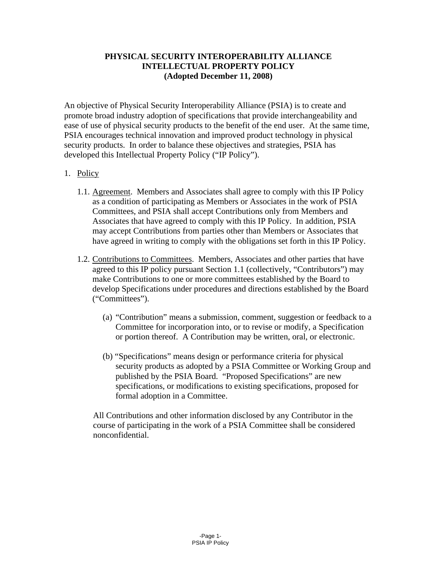## **PHYSICAL SECURITY INTEROPERABILITY ALLIANCE INTELLECTUAL PROPERTY POLICY (Adopted December 11, 2008)**

An objective of Physical Security Interoperability Alliance (PSIA) is to create and promote broad industry adoption of specifications that provide interchangeability and ease of use of physical security products to the benefit of the end user. At the same time, PSIA encourages technical innovation and improved product technology in physical security products. In order to balance these objectives and strategies, PSIA has developed this Intellectual Property Policy ("IP Policy").

## 1. Policy

- 1.1. Agreement. Members and Associates shall agree to comply with this IP Policy as a condition of participating as Members or Associates in the work of PSIA Committees, and PSIA shall accept Contributions only from Members and Associates that have agreed to comply with this IP Policy. In addition, PSIA may accept Contributions from parties other than Members or Associates that have agreed in writing to comply with the obligations set forth in this IP Policy.
- 1.2. Contributions to Committees. Members, Associates and other parties that have agreed to this IP policy pursuant Section 1.1 (collectively, "Contributors") may make Contributions to one or more committees established by the Board to develop Specifications under procedures and directions established by the Board ("Committees").
	- (a) "Contribution" means a submission, comment, suggestion or feedback to a Committee for incorporation into, or to revise or modify, a Specification or portion thereof. A Contribution may be written, oral, or electronic.
	- (b) "Specifications" means design or performance criteria for physical security products as adopted by a PSIA Committee or Working Group and published by the PSIA Board. "Proposed Specifications" are new specifications, or modifications to existing specifications, proposed for formal adoption in a Committee.

All Contributions and other information disclosed by any Contributor in the course of participating in the work of a PSIA Committee shall be considered nonconfidential.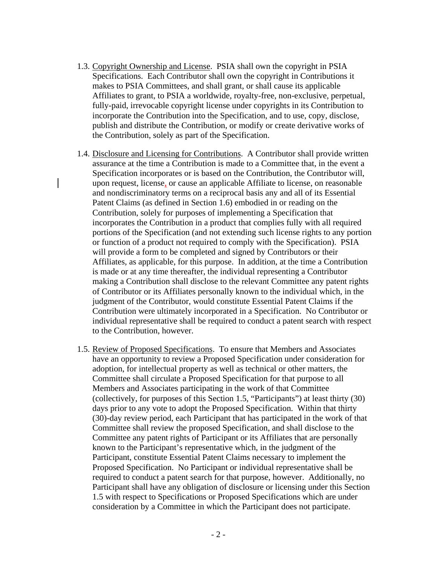- 1.3. Copyright Ownership and License. PSIA shall own the copyright in PSIA Specifications. Each Contributor shall own the copyright in Contributions it makes to PSIA Committees, and shall grant, or shall cause its applicable Affiliates to grant, to PSIA a worldwide, royalty-free, non-exclusive, perpetual, fully-paid, irrevocable copyright license under copyrights in its Contribution to incorporate the Contribution into the Specification, and to use, copy, disclose, publish and distribute the Contribution, or modify or create derivative works of the Contribution, solely as part of the Specification.
- 1.4. Disclosure and Licensing for Contributions. A Contributor shall provide written assurance at the time a Contribution is made to a Committee that, in the event a Specification incorporates or is based on the Contribution, the Contributor will, upon request, license, or cause an applicable Affiliate to license, on reasonable and nondiscriminatory terms on a reciprocal basis any and all of its Essential Patent Claims (as defined in Section 1.6) embodied in or reading on the Contribution, solely for purposes of implementing a Specification that incorporates the Contribution in a product that complies fully with all required portions of the Specification (and not extending such license rights to any portion or function of a product not required to comply with the Specification). PSIA will provide a form to be completed and signed by Contributors or their Affiliates, as applicable, for this purpose. In addition, at the time a Contribution is made or at any time thereafter, the individual representing a Contributor making a Contribution shall disclose to the relevant Committee any patent rights of Contributor or its Affiliates personally known to the individual which, in the judgment of the Contributor, would constitute Essential Patent Claims if the Contribution were ultimately incorporated in a Specification. No Contributor or individual representative shall be required to conduct a patent search with respect to the Contribution, however.
- 1.5. Review of Proposed Specifications. To ensure that Members and Associates have an opportunity to review a Proposed Specification under consideration for adoption, for intellectual property as well as technical or other matters, the Committee shall circulate a Proposed Specification for that purpose to all Members and Associates participating in the work of that Committee (collectively, for purposes of this Section 1.5, "Participants") at least thirty (30) days prior to any vote to adopt the Proposed Specification. Within that thirty (30)-day review period, each Participant that has participated in the work of that Committee shall review the proposed Specification, and shall disclose to the Committee any patent rights of Participant or its Affiliates that are personally known to the Participant's representative which, in the judgment of the Participant, constitute Essential Patent Claims necessary to implement the Proposed Specification. No Participant or individual representative shall be required to conduct a patent search for that purpose, however. Additionally, no Participant shall have any obligation of disclosure or licensing under this Section 1.5 with respect to Specifications or Proposed Specifications which are under consideration by a Committee in which the Participant does not participate.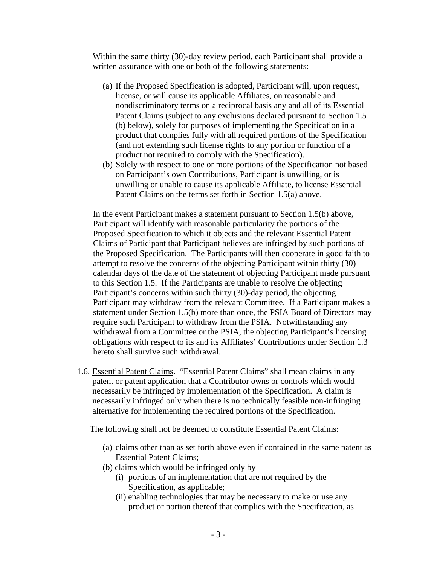Within the same thirty (30)-day review period, each Participant shall provide a written assurance with one or both of the following statements:

- (a) If the Proposed Specification is adopted, Participant will, upon request, license, or will cause its applicable Affiliates, on reasonable and nondiscriminatory terms on a reciprocal basis any and all of its Essential Patent Claims (subject to any exclusions declared pursuant to Section 1.5 (b) below), solely for purposes of implementing the Specification in a product that complies fully with all required portions of the Specification (and not extending such license rights to any portion or function of a product not required to comply with the Specification).
- (b) Solely with respect to one or more portions of the Specification not based on Participant's own Contributions, Participant is unwilling, or is unwilling or unable to cause its applicable Affiliate, to license Essential Patent Claims on the terms set forth in Section 1.5(a) above.

In the event Participant makes a statement pursuant to Section 1.5(b) above, Participant will identify with reasonable particularity the portions of the Proposed Specification to which it objects and the relevant Essential Patent Claims of Participant that Participant believes are infringed by such portions of the Proposed Specification. The Participants will then cooperate in good faith to attempt to resolve the concerns of the objecting Participant within thirty (30) calendar days of the date of the statement of objecting Participant made pursuant to this Section 1.5. If the Participants are unable to resolve the objecting Participant's concerns within such thirty (30)-day period, the objecting Participant may withdraw from the relevant Committee. If a Participant makes a statement under Section 1.5(b) more than once, the PSIA Board of Directors may require such Participant to withdraw from the PSIA. Notwithstanding any withdrawal from a Committee or the PSIA, the objecting Participant's licensing obligations with respect to its and its Affiliates' Contributions under Section 1.3 hereto shall survive such withdrawal.

1.6. Essential Patent Claims. "Essential Patent Claims" shall mean claims in any patent or patent application that a Contributor owns or controls which would necessarily be infringed by implementation of the Specification. A claim is necessarily infringed only when there is no technically feasible non-infringing alternative for implementing the required portions of the Specification.

The following shall not be deemed to constitute Essential Patent Claims:

- (a) claims other than as set forth above even if contained in the same patent as Essential Patent Claims;
- (b) claims which would be infringed only by
	- (i) portions of an implementation that are not required by the Specification, as applicable;
	- (ii) enabling technologies that may be necessary to make or use any product or portion thereof that complies with the Specification, as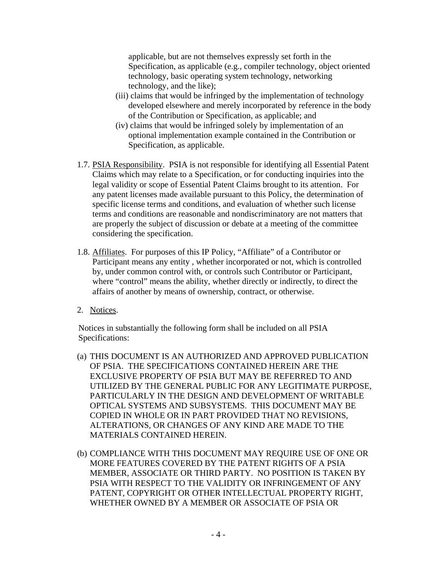applicable, but are not themselves expressly set forth in the Specification, as applicable (e.g., compiler technology, object oriented technology, basic operating system technology, networking technology, and the like);

- (iii) claims that would be infringed by the implementation of technology developed elsewhere and merely incorporated by reference in the body of the Contribution or Specification, as applicable; and
- (iv) claims that would be infringed solely by implementation of an optional implementation example contained in the Contribution or Specification, as applicable.
- 1.7. PSIA Responsibility. PSIA is not responsible for identifying all Essential Patent Claims which may relate to a Specification, or for conducting inquiries into the legal validity or scope of Essential Patent Claims brought to its attention. For any patent licenses made available pursuant to this Policy, the determination of specific license terms and conditions, and evaluation of whether such license terms and conditions are reasonable and nondiscriminatory are not matters that are properly the subject of discussion or debate at a meeting of the committee considering the specification.
- 1.8. Affiliates. For purposes of this IP Policy, "Affiliate" of a Contributor or Participant means any entity , whether incorporated or not, which is controlled by, under common control with, or controls such Contributor or Participant, where "control" means the ability, whether directly or indirectly, to direct the affairs of another by means of ownership, contract, or otherwise.
- 2. Notices.

Notices in substantially the following form shall be included on all PSIA Specifications:

- (a) THIS DOCUMENT IS AN AUTHORIZED AND APPROVED PUBLICATION OF PSIA. THE SPECIFICATIONS CONTAINED HEREIN ARE THE EXCLUSIVE PROPERTY OF PSIA BUT MAY BE REFERRED TO AND UTILIZED BY THE GENERAL PUBLIC FOR ANY LEGITIMATE PURPOSE, PARTICULARLY IN THE DESIGN AND DEVELOPMENT OF WRITABLE OPTICAL SYSTEMS AND SUBSYSTEMS. THIS DOCUMENT MAY BE COPIED IN WHOLE OR IN PART PROVIDED THAT NO REVISIONS, ALTERATIONS, OR CHANGES OF ANY KIND ARE MADE TO THE MATERIALS CONTAINED HEREIN.
- (b) COMPLIANCE WITH THIS DOCUMENT MAY REQUIRE USE OF ONE OR MORE FEATURES COVERED BY THE PATENT RIGHTS OF A PSIA MEMBER, ASSOCIATE OR THIRD PARTY. NO POSITION IS TAKEN BY PSIA WITH RESPECT TO THE VALIDITY OR INFRINGEMENT OF ANY PATENT, COPYRIGHT OR OTHER INTELLECTUAL PROPERTY RIGHT, WHETHER OWNED BY A MEMBER OR ASSOCIATE OF PSIA OR